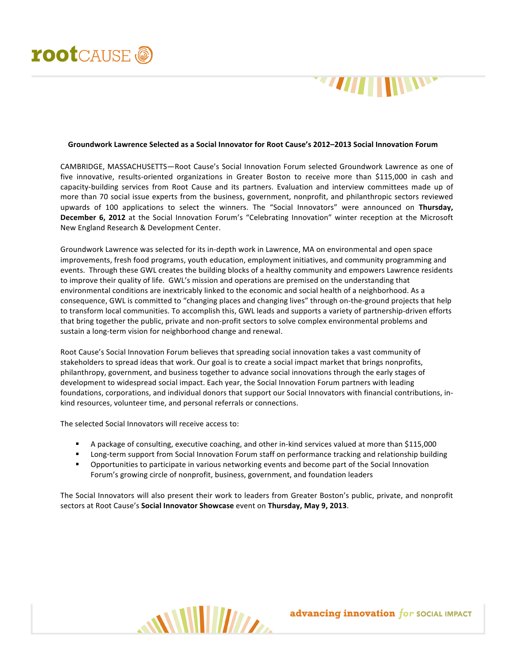

## **Groundwork Lawrence Selected as a Social Innovator for Root Cause's 2012–2013 Social Innovation Forum**

CAMBRIDGE, MASSACHUSETTS-Root Cause's Social Innovation Forum selected Groundwork Lawrence as one of five innovative, results-oriented organizations in Greater Boston to receive more than \$115,000 in cash and capacity-building services from Root Cause and its partners. Evaluation and interview committees made up of more than 70 social issue experts from the business, government, nonprofit, and philanthropic sectors reviewed upwards of 100 applications to select the winners. The "Social Innovators" were announced on Thursday, **December 6, 2012** at the Social Innovation Forum's "Celebrating Innovation" winter reception at the Microsoft New England Research & Development Center.

Groundwork Lawrence was selected for its in-depth work in Lawrence, MA on environmental and open space improvements, fresh food programs, youth education, employment initiatives, and community programming and events. Through these GWL creates the building blocks of a healthy community and empowers Lawrence residents to improve their quality of life. GWL's mission and operations are premised on the understanding that environmental conditions are inextricably linked to the economic and social health of a neighborhood. As a consequence, GWL is committed to "changing places and changing lives" through on-the-ground projects that help to transform local communities. To accomplish this, GWL leads and supports a variety of partnership-driven efforts that bring together the public, private and non-profit sectors to solve complex environmental problems and sustain a long-term vision for neighborhood change and renewal.

Root Cause's Social Innovation Forum believes that spreading social innovation takes a vast community of stakeholders to spread ideas that work. Our goal is to create a social impact market that brings nonprofits, philanthropy, government, and business together to advance social innovations through the early stages of development to widespread social impact. Each year, the Social Innovation Forum partners with leading foundations, corporations, and individual donors that support our Social Innovators with financial contributions, inkind resources, volunteer time, and personal referrals or connections.

The selected Social Innovators will receive access to:

- A package of consulting, executive coaching, and other in-kind services valued at more than \$115,000
- Long-term support from Social Innovation Forum staff on performance tracking and relationship building
- **•** Opportunities to participate in various networking events and become part of the Social Innovation Forum's growing circle of nonprofit, business, government, and foundation leaders

The Social Innovators will also present their work to leaders from Greater Boston's public, private, and nonprofit sectors at Root Cause's **Social Innovator Showcase** event on Thursday, May 9, 2013.